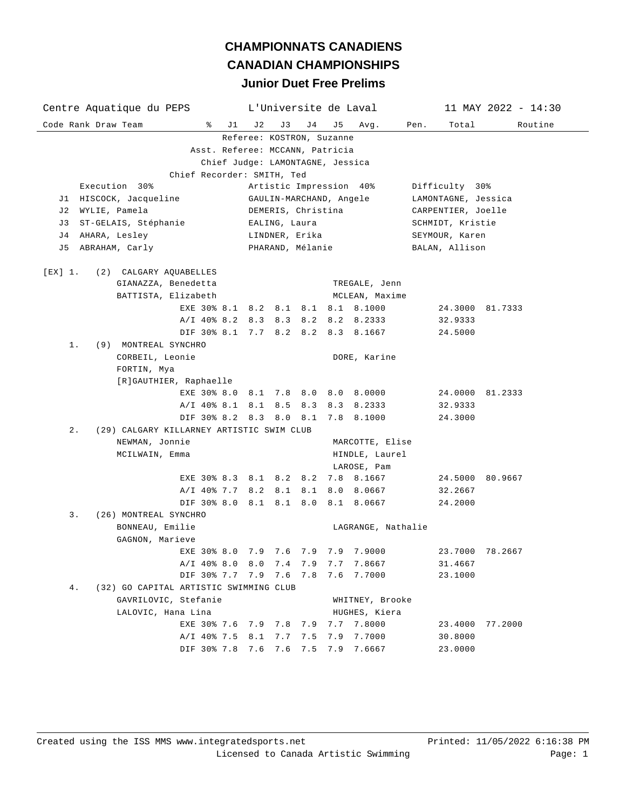| Centre Aquatique du PEPS                           | L'Universite de Laval                                       |                         |                    | $11$ MAY 2022 - 14:30 |  |  |  |
|----------------------------------------------------|-------------------------------------------------------------|-------------------------|--------------------|-----------------------|--|--|--|
| ႜ<br>Code Rank Draw Team<br>J1                     | J3<br>J 4<br>J 2                                            | J 5<br>Avg.             | Total<br>Pen.      | Routine               |  |  |  |
|                                                    | Referee: KOSTRON, Suzanne                                   |                         |                    |                       |  |  |  |
|                                                    | Asst. Referee: MCCANN, Patricia                             |                         |                    |                       |  |  |  |
|                                                    | Chief Judge: LAMONTAGNE, Jessica                            |                         |                    |                       |  |  |  |
| Chief Recorder: SMITH, Ted                         |                                                             |                         |                    |                       |  |  |  |
| Execution 30%                                      | Artistic Impression 40%<br>Difficulty 30%                   |                         |                    |                       |  |  |  |
| J1 HISCOCK, Jacqueline                             | GAULIN-MARCHAND, Angele<br>LAMONTAGNE, Jessica              |                         |                    |                       |  |  |  |
| J2 WYLIE, Pamela                                   | CARPENTIER, Joelle<br>DEMERIS, Christina                    |                         |                    |                       |  |  |  |
| ST-GELAIS, Stéphanie<br>J 3                        | EALING, Laura                                               | SCHMIDT, Kristie        |                    |                       |  |  |  |
| AHARA, Lesley<br>J 4                               | LINDNER, Erika                                              |                         | SEYMOUR, Karen     |                       |  |  |  |
|                                                    | ABRAHAM, Carly<br>PHARAND, Mélanie<br>BALAN, Allison<br>J 5 |                         |                    |                       |  |  |  |
| [EX] 1.<br>(2) CALGARY AQUABELLES                  |                                                             |                         |                    |                       |  |  |  |
| GIANAZZA, Benedetta                                |                                                             | TREGALE, Jenn           |                    |                       |  |  |  |
| BATTISTA, Elizabeth                                |                                                             | MCLEAN, Maxime          |                    |                       |  |  |  |
|                                                    | EXE 30% 8.1 8.2 8.1 8.1                                     | 8.1 8.1000              |                    | 24.3000 81.7333       |  |  |  |
|                                                    | A/I 40% 8.2 8.3 8.3 8.2                                     | 8.2 8.2333              | 32.9333            |                       |  |  |  |
|                                                    | DIF 30% 8.1 7.7 8.2 8.2                                     | 8.3 8.1667              | 24.5000            |                       |  |  |  |
| 1.<br>(9) MONTREAL SYNCHRO                         |                                                             |                         |                    |                       |  |  |  |
| CORBEIL, Leonie                                    |                                                             | DORE, Karine            |                    |                       |  |  |  |
| FORTIN, Mya                                        |                                                             |                         |                    |                       |  |  |  |
| [R]GAUTHIER, Raphaelle                             |                                                             |                         |                    |                       |  |  |  |
|                                                    | EXE 30% 8.0 8.1 7.8 8.0 8.0 8.0000                          |                         |                    | 24.0000 81.2333       |  |  |  |
|                                                    | A/I 40% 8.1 8.1 8.5 8.3                                     | 8.3 8.2333              | 32.9333            |                       |  |  |  |
|                                                    | DIF 30% 8.2 8.3 8.0 8.1                                     | 7.8 8.1000              | 24.3000            |                       |  |  |  |
| $2$ .<br>(29) CALGARY KILLARNEY ARTISTIC SWIM CLUB |                                                             |                         |                    |                       |  |  |  |
| NEWMAN, Jonnie                                     | MARCOTTE, Elise                                             |                         |                    |                       |  |  |  |
| MCILWAIN, Emma                                     | HINDLE, Laurel                                              |                         |                    |                       |  |  |  |
|                                                    |                                                             | LAROSE, Pam             |                    |                       |  |  |  |
|                                                    | EXE 30% 8.3 8.1 8.2 8.2                                     | 7.8 8.1667              |                    | 24.5000 80.9667       |  |  |  |
|                                                    | A/I 40% 7.7 8.2 8.1 8.1                                     | 8.0 8.0667              | 32.2667            |                       |  |  |  |
|                                                    | DIF 30% 8.0 8.1 8.1 8.0                                     | 8.1 8.0667              | 24.2000            |                       |  |  |  |
| (26) MONTREAL SYNCHRO<br>3.                        |                                                             |                         |                    |                       |  |  |  |
| BONNEAU, Emilie                                    |                                                             | LAGRANGE, Nathalie      |                    |                       |  |  |  |
| GAGNON, Marieve                                    |                                                             |                         |                    |                       |  |  |  |
|                                                    | EXE 30% 8.0 7.9 7.6 7.9 7.9 7.9000                          |                         |                    | 23.7000 78.2667       |  |  |  |
| A/I 40% 8.0 8.0                                    |                                                             | 7.4 7.9 7.7 7.8667      | 31.4667            |                       |  |  |  |
|                                                    | DIF 30% 7.7 7.9 7.6 7.8                                     | 7.6<br>7.7000           | 23.1000            |                       |  |  |  |
| (32) GO CAPITAL ARTISTIC SWIMMING CLUB<br>4.       |                                                             |                         |                    |                       |  |  |  |
| GAVRILOVIC, Stefanie                               |                                                             | WHITNEY, Brooke         |                    |                       |  |  |  |
| LALOVIC, Hana Lina                                 |                                                             | HUGHES, Kiera           |                    |                       |  |  |  |
| EXE 30% 7.6 7.9 7.8                                | 7.9                                                         | 7.7<br>7.8000<br>7.7000 | 23.4000<br>30.8000 | 77.2000               |  |  |  |
| A/I 40% 7.5 8.1<br>DIF 30% 7.8                     | 7.7<br>7.5                                                  | 7.9                     | 23.0000            |                       |  |  |  |
|                                                    | 7.6 7.5<br>7.6                                              | 7.9<br>7.6667           |                    |                       |  |  |  |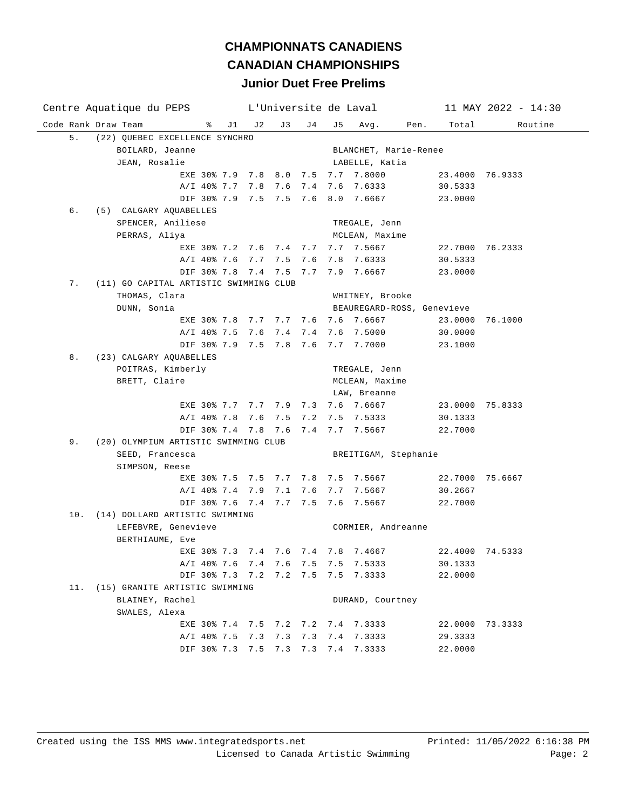| Centre Aquatique du PEPS                     | L'Universite de Laval |     |     |             | $11$ MAY 2022 - 14:30      |      |                 |                 |
|----------------------------------------------|-----------------------|-----|-----|-------------|----------------------------|------|-----------------|-----------------|
| Code Rank Draw Team<br>ိ                     | $J1$ $J2$             | J 3 | J 4 | J 5         | Avg.                       | Pen. | Total           | Routine         |
| 5.<br>(22) QUEBEC EXCELLENCE SYNCHRO         |                       |     |     |             |                            |      |                 |                 |
| BOILARD, Jeanne                              |                       |     |     |             | BLANCHET, Marie-Renee      |      |                 |                 |
| JEAN, Rosalie                                |                       |     |     |             | LABELLE, Katia             |      |                 |                 |
| EXE 30% 7.9 7.8 8.0 7.5 7.7 7.8000           |                       |     |     |             |                            |      | 23.4000 76.9333 |                 |
| A/I 40% 7.7 7.8 7.6 7.4 7.6 7.6333           |                       |     |     |             |                            |      | 30.5333         |                 |
| DIF 30% 7.9 7.5 7.5 7.6 8.0 7.6667           |                       |     |     |             |                            |      | 23.0000         |                 |
| б.<br>(5) CALGARY AQUABELLES                 |                       |     |     |             |                            |      |                 |                 |
| SPENCER, Aniliese                            |                       |     |     |             | TREGALE, Jenn              |      |                 |                 |
| PERRAS, Aliya                                |                       |     |     |             | MCLEAN, Maxime             |      |                 |                 |
| EXE 30% 7.2 7.6 7.4 7.7 7.7 7.5667           |                       |     |     |             |                            |      |                 | 22.7000 76.2333 |
| A/I 40% 7.6 7.7 7.5 7.6                      |                       |     |     |             | 7.8 7.6333                 |      | 30.5333         |                 |
| DIF 30% 7.8 7.4 7.5 7.7                      |                       |     |     |             | 7.9 7.6667                 |      | 23.0000         |                 |
| 7.<br>(11) GO CAPITAL ARTISTIC SWIMMING CLUB |                       |     |     |             |                            |      |                 |                 |
| THOMAS, Clara                                |                       |     |     |             | WHITNEY, Brooke            |      |                 |                 |
| DUNN, Sonia                                  |                       |     |     |             | BEAUREGARD-ROSS, Genevieve |      |                 |                 |
| EXE 30% 7.8 7.7 7.7 7.6 7.6 7.6667           |                       |     |     |             |                            |      | 23.0000 76.1000 |                 |
| A/I 40% 7.5 7.6 7.4 7.4 7.6 7.5000           |                       |     |     |             |                            |      | 30.0000         |                 |
| DIF 30% 7.9 7.5 7.8 7.6 7.7 7.7000           |                       |     |     |             |                            |      | 23.1000         |                 |
| 8.<br>(23) CALGARY AQUABELLES                |                       |     |     |             |                            |      |                 |                 |
| POITRAS, Kimberly                            |                       |     |     |             | TREGALE, Jenn              |      |                 |                 |
| BRETT, Claire                                |                       |     |     |             | MCLEAN, Maxime             |      |                 |                 |
|                                              |                       |     |     |             | LAW, Breanne               |      |                 |                 |
| EXE 30% 7.7 7.7 7.9 7.3 7.6 7.6667           |                       |     |     |             |                            |      | 23.0000 75.8333 |                 |
| A/I 40% 7.8 7.6 7.5 7.2 7.5 7.5333           |                       |     |     |             |                            |      | 30.1333         |                 |
| DIF 30% 7.4 7.8 7.6 7.4 7.7 7.5667           |                       |     |     |             |                            |      | 22.7000         |                 |
| 9.<br>(20) OLYMPIUM ARTISTIC SWIMMING CLUB   |                       |     |     |             |                            |      |                 |                 |
| SEED, Francesca                              |                       |     |     |             | BREITIGAM, Stephanie       |      |                 |                 |
| SIMPSON, Reese                               |                       |     |     |             |                            |      |                 |                 |
| EXE 30% 7.5 7.5 7.7 7.8 7.5 7.5667           |                       |     |     |             |                            |      | 22.7000 75.6667 |                 |
| A/I 40% 7.4 7.9                              |                       |     |     |             | 7.1 7.6 7.7 7.5667         |      | 30.2667         |                 |
| DIF 30% 7.6 7.4 7.7 7.5 7.6 7.5667           |                       |     |     |             |                            |      | 22.7000         |                 |
| 10. (14) DOLLARD ARTISTIC SWIMMING           |                       |     |     |             |                            |      |                 |                 |
| LEFEBVRE, Genevieve                          |                       |     |     |             | CORMIER, Andreanne         |      |                 |                 |
| BERTHIAUME, Eve                              |                       |     |     |             |                            |      |                 |                 |
| EXE 30% 7.3 7.4 7.6 7.4 7.8 7.4667           |                       |     |     |             |                            |      | 22.4000 74.5333 |                 |
| A/I 40% 7.6 7.4 7.6 7.5                      |                       |     |     |             | 7.5 7.5333                 |      | 30.1333         |                 |
| DIF 30% 7.3 7.2 7.2 7.5                      |                       |     |     |             | 7.5 7.3333                 |      | 22.0000         |                 |
| (15) GRANITE ARTISTIC SWIMMING<br>11.        |                       |     |     |             |                            |      |                 |                 |
| BLAINEY, Rachel                              |                       |     |     |             | DURAND, Courtney           |      |                 |                 |
| SWALES, Alexa                                |                       |     |     |             |                            |      |                 |                 |
| EXE 30% 7.4 7.5 7.2 7.2 7.4 7.3333           |                       |     |     |             |                            |      |                 | 22.0000 73.3333 |
| A/I 40% 7.5 7.3                              |                       |     |     | 7.3 7.3 7.4 | 7.3333                     |      | 29.3333         |                 |
| DIF 30% 7.3 7.5 7.3 7.3 7.4 7.3333           |                       |     |     |             |                            |      | 22.0000         |                 |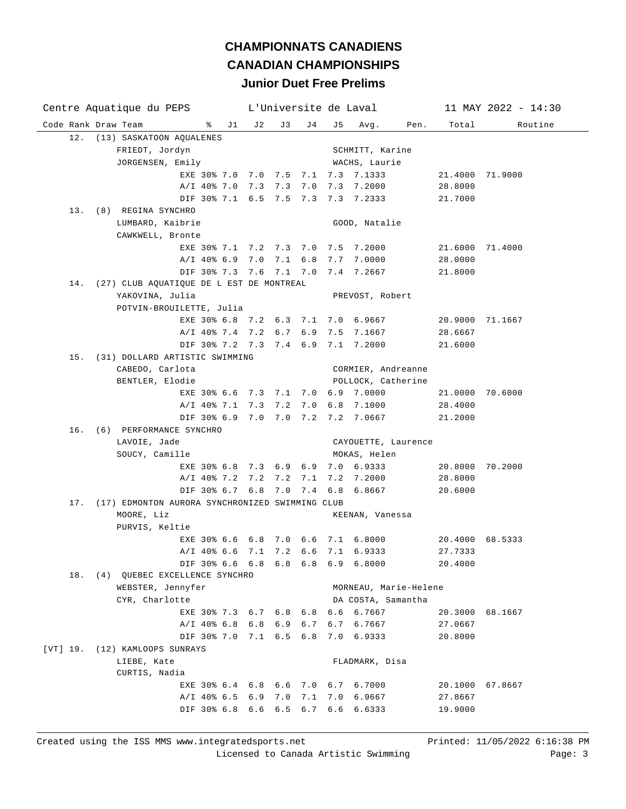| Centre Aquatique du PEPS                               |       | L'Universite de Laval |     |     |                       |                 | $11$ MAY 2022 - 14:30 |
|--------------------------------------------------------|-------|-----------------------|-----|-----|-----------------------|-----------------|-----------------------|
| Code Rank Draw Team<br>ိ                               | J1 J2 | J 3                   | J 4 | J 5 | Avg.<br>Pen.          | Total           | Routine               |
| 12.<br>(13) SASKATOON AQUALENES                        |       |                       |     |     |                       |                 |                       |
| FRIEDT, Jordyn                                         |       |                       |     |     | SCHMITT, Karine       |                 |                       |
| JORGENSEN, Emily                                       |       |                       |     |     | WACHS, Laurie         |                 |                       |
| EXE 30% 7.0 7.0 7.5 7.1 7.3 7.1333                     |       |                       |     |     |                       | 21.4000 71.9000 |                       |
| A/I 40% 7.0 7.3 7.3 7.0 7.3 7.2000                     |       |                       |     |     |                       | 28.8000         |                       |
| DIF 30% 7.1 6.5 7.5 7.3 7.3 7.2333                     |       |                       |     |     |                       | 21.7000         |                       |
| 13. (8) REGINA SYNCHRO                                 |       |                       |     |     |                       |                 |                       |
| LUMBARD, Kaibrie                                       |       |                       |     |     | GOOD, Natalie         |                 |                       |
| CAWKWELL, Bronte                                       |       |                       |     |     |                       |                 |                       |
| EXE 30% 7.1 7.2 7.3 7.0 7.5 7.2000                     |       |                       |     |     |                       | 21.6000 71.4000 |                       |
| A/I 40% 6.9 7.0 7.1 6.8 7.7 7.0000                     |       |                       |     |     |                       | 28.0000         |                       |
| DIF 30% 7.3 7.6 7.1 7.0 7.4 7.2667                     |       |                       |     |     |                       | 21.8000         |                       |
| (27) CLUB AQUATIQUE DE L EST DE MONTREAL<br>14.        |       |                       |     |     |                       |                 |                       |
| YAKOVINA, Julia                                        |       |                       |     |     | PREVOST, Robert       |                 |                       |
| POTVIN-BROUILETTE, Julia                               |       |                       |     |     |                       |                 |                       |
| EXE 30% 6.8 7.2 6.3 7.1 7.0 6.9667                     |       |                       |     |     |                       | 20.9000 71.1667 |                       |
| $A/I$ 40% 7.4 7.2 6.7                                  |       |                       |     |     | 6.9 7.5 7.1667        | 28.6667         |                       |
| DIF 30% 7.2 7.3 7.4 6.9 7.1 7.2000                     |       |                       |     |     |                       | 21.6000         |                       |
| (31) DOLLARD ARTISTIC SWIMMING<br>15.                  |       |                       |     |     |                       |                 |                       |
| CABEDO, Carlota                                        |       |                       |     |     | CORMIER, Andreanne    |                 |                       |
| BENTLER, Elodie<br>EXE 30% 6.6 7.3 7.1 7.0 6.9 7.0000  |       |                       |     |     | POLLOCK, Catherine    | 21.0000 70.6000 |                       |
| A/I 40% 7.1 7.3 7.2                                    |       |                       |     |     | 7.0 6.8 7.1000        | 28.4000         |                       |
| DIF 30% 6.9 7.0 7.0 7.2 7.2 7.0667                     |       |                       |     |     |                       | 21.2000         |                       |
| 16. (6) PERFORMANCE SYNCHRO                            |       |                       |     |     |                       |                 |                       |
| LAVOIE, Jade                                           |       |                       |     |     | CAYOUETTE, Laurence   |                 |                       |
| SOUCY, Camille                                         |       |                       |     |     | MOKAS, Helen          |                 |                       |
| EXE 30% 6.8 7.3 6.9                                    |       |                       |     |     | $6.9$ $7.0$ $6.9333$  | 20.8000 70.2000 |                       |
| A/I 40% 7.2 7.2 7.2                                    |       |                       |     |     | 7.1 7.2 7.2000        | 28.8000         |                       |
| DIF 30% 6.7 6.8 7.0                                    |       |                       | 7.4 |     | 6.8 6.8667            | 20.6000         |                       |
| (17) EDMONTON AURORA SYNCHRONIZED SWIMMING CLUB<br>17. |       |                       |     |     |                       |                 |                       |
| MOORE, Liz                                             |       |                       |     |     | KEENAN, Vanessa       |                 |                       |
| PURVIS, Keltie                                         |       |                       |     |     |                       |                 |                       |
| EXE 30% 6.6 6.8 7.0                                    |       |                       |     |     | $6.6$ $7.1$ $6.8000$  | 20.4000 68.5333 |                       |
| A/I 40% 6.6 7.1 7.2 6.6 7.1 6.9333                     |       |                       |     |     |                       | 27.7333         |                       |
| DIF 30% 6.6 6.8 6.8 6.8 6.9 6.8000                     |       |                       |     |     |                       | 20.4000         |                       |
| 18. (4) QUEBEC EXCELLENCE SYNCHRO                      |       |                       |     |     |                       |                 |                       |
| WEBSTER, Jennyfer                                      |       |                       |     |     | MORNEAU, Marie-Helene |                 |                       |
| CYR, Charlotte                                         |       |                       |     |     | DA COSTA, Samantha    |                 |                       |
| EXE 30% 7.3 6.7 6.8                                    |       |                       | 6.8 |     | 6.6 6.7667            | 20.3000 68.1667 |                       |
| $A/I$ 40% 6.8 6.8 6.9                                  |       |                       | 6.7 | 6.7 | 6.7667                | 27.0667         |                       |
| DIF 30% 7.0 7.1 6.5                                    |       |                       | 6.8 |     | 7.0 6.9333            | 20.8000         |                       |
| [VT] 19.<br>(12) KAMLOOPS SUNRAYS                      |       |                       |     |     |                       |                 |                       |
| LIEBE, Kate                                            |       |                       |     |     | FLADMARK, Disa        |                 |                       |
| CURTIS, Nadia                                          |       |                       |     |     |                       |                 |                       |
| EXE 30% 6.4 6.8 6.6                                    |       |                       | 7.0 |     | 6.7 6.7000            | 20.1000         | 67.8667               |
| $A/I$ 40% 6.5 6.9                                      |       | 7.0                   | 7.1 | 7.0 | 6.9667                | 27.8667         |                       |
| DIF 30% 6.8                                            | 6.6   | 6.5                   | 6.7 | 6.6 | 6.6333                | 19.9000         |                       |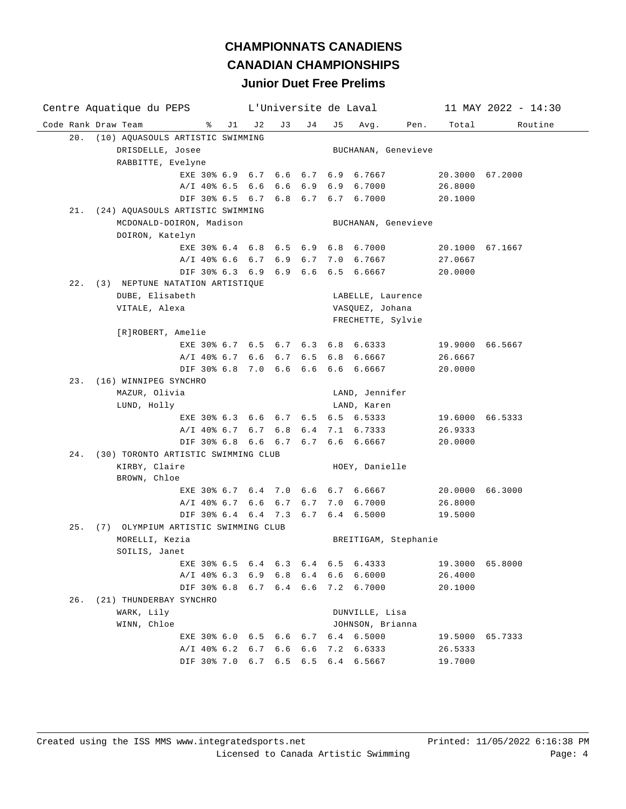| Centre Aquatique du PEPS                | L'Universite de Laval |    |     |     |                      |      |                 | $11$ MAY 2022 - 14:30 |
|-----------------------------------------|-----------------------|----|-----|-----|----------------------|------|-----------------|-----------------------|
| Code Rank Draw Team<br>ႜ                | $J1$ $J2$             | J3 | J 4 | J 5 | Avg.                 | Pen. | Total           | Routine               |
| 20. (10) AQUASOULS ARTISTIC SWIMMING    |                       |    |     |     |                      |      |                 |                       |
| DRISDELLE, Josee                        |                       |    |     |     | BUCHANAN, Genevieve  |      |                 |                       |
| RABBITTE, Evelyne                       |                       |    |     |     |                      |      |                 |                       |
| EXE 30% 6.9 6.7 6.6 6.7 6.9 6.7667      |                       |    |     |     |                      |      | 20.3000 67.2000 |                       |
| A/I 40% 6.5 6.6 6.6 6.9 6.9 6.7000      |                       |    |     |     |                      |      | 26.8000         |                       |
| DIF 30% 6.5 6.7 6.8 6.7 6.7 6.7000      |                       |    |     |     |                      |      | 20.1000         |                       |
| 21. (24) AQUASOULS ARTISTIC SWIMMING    |                       |    |     |     |                      |      |                 |                       |
| MCDONALD-DOIRON, Madison                |                       |    |     |     | BUCHANAN, Genevieve  |      |                 |                       |
| DOIRON, Katelyn                         |                       |    |     |     |                      |      |                 |                       |
| EXE 30% 6.4 6.8 6.5 6.9 6.8 6.7000      |                       |    |     |     |                      |      | 20.1000 67.1667 |                       |
| A/I 40% 6.6 6.7 6.9 6.7 7.0 6.7667      |                       |    |     |     |                      |      | 27.0667         |                       |
| DIF 30% 6.3 6.9 6.9 6.6 6.5 6.6667      |                       |    |     |     |                      |      | 20.0000         |                       |
| 22. (3) NEPTUNE NATATION ARTISTIQUE     |                       |    |     |     |                      |      |                 |                       |
| DUBE, Elisabeth                         |                       |    |     |     | LABELLE, Laurence    |      |                 |                       |
| VITALE, Alexa                           |                       |    |     |     | VASQUEZ, Johana      |      |                 |                       |
|                                         |                       |    |     |     | FRECHETTE, Sylvie    |      |                 |                       |
| [R]ROBERT, Amelie                       |                       |    |     |     |                      |      |                 |                       |
| EXE 30% 6.7 6.5 6.7 6.3 6.8 6.6333      |                       |    |     |     |                      |      | 19.9000 66.5667 |                       |
| A/I 40% 6.7 6.6 6.7 6.5 6.8 6.6667      |                       |    |     |     |                      |      | 26.6667         |                       |
| DIF 30% 6.8 7.0 6.6 6.6 6.6 6.6667      |                       |    |     |     |                      |      | 20.0000         |                       |
| 23. (16) WINNIPEG SYNCHRO               |                       |    |     |     |                      |      |                 |                       |
| MAZUR, Olivia                           |                       |    |     |     | LAND, Jennifer       |      |                 |                       |
| LUND, Holly                             |                       |    |     |     | LAND, Karen          |      |                 |                       |
| EXE 30% 6.3 6.6 6.7 6.5 6.5 6.5333      |                       |    |     |     |                      |      | 19.6000 66.5333 |                       |
| A/I 40% 6.7 6.7 6.8 6.4 7.1 6.7333      |                       |    |     |     |                      |      | 26.9333         |                       |
| DIF 30% 6.8 6.6 6.7 6.7 6.6 6.6667      |                       |    |     |     |                      |      | 20.0000         |                       |
| 24. (30) TORONTO ARTISTIC SWIMMING CLUB |                       |    |     |     |                      |      |                 |                       |
| KIRBY, Claire                           |                       |    |     |     | HOEY, Danielle       |      |                 |                       |
| BROWN, Chloe                            |                       |    |     |     |                      |      |                 |                       |
| EXE 30% 6.7 6.4 7.0 6.6 6.7 6.6667      |                       |    |     |     |                      |      | 20.0000 66.3000 |                       |
| A/I 40% 6.7 6.6 6.7 6.7 7.0 6.7000      |                       |    |     |     |                      |      | 26.8000         |                       |
| DIF 30% 6.4 6.4 7.3 6.7                 |                       |    |     |     | 6.4 6.5000           |      | 19.5000         |                       |
| 25. (7) OLYMPIUM ARTISTIC SWIMMING CLUB |                       |    |     |     |                      |      |                 |                       |
| MORELLI, Kezia                          |                       |    |     |     | BREITIGAM, Stephanie |      |                 |                       |
| SOILIS, Janet                           |                       |    |     |     |                      |      |                 |                       |
| EXE 30% 6.5 6.4 6.3 6.4 6.5             |                       |    |     |     | 6.4333               |      | 19.3000         | 65.8000               |
| A/I 40% 6.3 6.9 6.8 6.4 6.6             |                       |    |     |     | 6.6000               |      | 26.4000         |                       |
| DIF 30% 6.8 6.7 6.4 6.6                 |                       |    |     |     | 7.2 6.7000           |      | 20.1000         |                       |
| 26.<br>(21) THUNDERBAY SYNCHRO          |                       |    |     |     |                      |      |                 |                       |
| WARK, Lily                              |                       |    |     |     | DUNVILLE, Lisa       |      |                 |                       |
| WINN, Chloe                             |                       |    |     |     | JOHNSON, Brianna     |      |                 |                       |
| EXE 30% 6.0 6.5 6.6 6.7 6.4 6.5000      |                       |    |     |     |                      |      | 19.5000 65.7333 |                       |
| A/I 40% 6.2 6.7 6.6 6.6                 |                       |    |     | 7.2 | 6.6333               |      | 26.5333         |                       |
| DIF 30% 7.0 6.7 6.5 6.5 6.4 6.5667      |                       |    |     |     |                      |      | 19.7000         |                       |